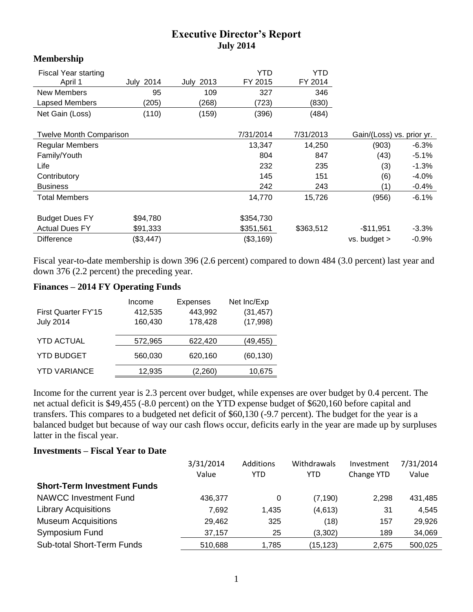## **Executive Director's Report July 2014**

|              |                                            | YTD       | YTD                    |                  |                           |
|--------------|--------------------------------------------|-----------|------------------------|------------------|---------------------------|
| 2014<br>July | 2013<br>July                               | FY 2015   | FY 2014                |                  |                           |
| 95           | 109                                        | 327       | 346                    |                  |                           |
| (205)        | (268)                                      | (723)     | (830)                  |                  |                           |
| (110)        | (159)                                      | (396)     | (484)                  |                  |                           |
|              |                                            |           |                        |                  |                           |
|              |                                            |           |                        |                  |                           |
|              |                                            | 13,347    | 14,250                 | (903)            | $-6.3%$                   |
|              |                                            | 804       | 847                    | (43)             | $-5.1%$                   |
|              |                                            | 232       | 235                    | (3)              | $-1.3%$                   |
|              |                                            | 145       | 151                    | (6)              | $-4.0\%$                  |
|              |                                            | 242       | 243                    | (1)              | $-0.4%$                   |
|              |                                            | 14,770    | 15,726                 | (956)            | $-6.1%$                   |
|              |                                            |           |                        |                  |                           |
| \$91,333     |                                            | \$351,561 | \$363,512              | $-$11,951$       | $-3.3\%$                  |
| (\$3,447)    |                                            | (\$3,169) |                        | $vs.$ budget $>$ | $-0.9%$                   |
|              | <b>Twelve Month Comparison</b><br>\$94,780 |           | 7/31/2014<br>\$354,730 | 7/31/2013        | Gain/(Loss) vs. prior yr. |

Fiscal year-to-date membership is down 396 (2.6 percent) compared to down 484 (3.0 percent) last year and down 376 (2.2 percent) the preceding year.

## **Finances – 2014 FY Operating Funds**

**Membership**

|                     | Income  | <b>Expenses</b> | Net Inc/Exp |
|---------------------|---------|-----------------|-------------|
| First Quarter FY'15 | 412,535 | 443,992         | (31, 457)   |
| <b>July 2014</b>    | 160,430 | 178,428         | (17,998)    |
|                     |         |                 |             |
| <b>YTD ACTUAL</b>   | 572,965 | 622,420         | (49,455)    |
| <b>YTD BUDGET</b>   | 560,030 | 620,160         | (60, 130)   |
| <b>YTD VARIANCE</b> | 12,935  | (2,260)         | 10,675      |

Income for the current year is 2.3 percent over budget, while expenses are over budget by 0.4 percent. The net actual deficit is \$49,455 (-8.0 percent) on the YTD expense budget of \$620,160 before capital and transfers. This compares to a budgeted net deficit of \$60,130 (-9.7 percent). The budget for the year is a balanced budget but because of way our cash flows occur, deficits early in the year are made up by surpluses latter in the fiscal year.

## **Investments – Fiscal Year to Date**

|                                    | 3/31/2014<br>Value | Additions<br>YTD | Withdrawals<br><b>YTD</b> | Investment<br>Change YTD | 7/31/2014<br>Value |
|------------------------------------|--------------------|------------------|---------------------------|--------------------------|--------------------|
| <b>Short-Term Investment Funds</b> |                    |                  |                           |                          |                    |
| <b>NAWCC Investment Fund</b>       | 436.377            | 0                | (7,190)                   | 2,298                    | 431,485            |
| <b>Library Acquisitions</b>        | 7,692              | 1,435            | (4,613)                   | 31                       | 4,545              |
| <b>Museum Acquisitions</b>         | 29,462             | 325              | (18)                      | 157                      | 29,926             |
| Symposium Fund                     | 37,157             | 25               | (3,302)                   | 189                      | 34,069             |
| <b>Sub-total Short-Term Funds</b>  | 510,688            | 1,785            | (15,123)                  | 2,675                    | 500,025            |